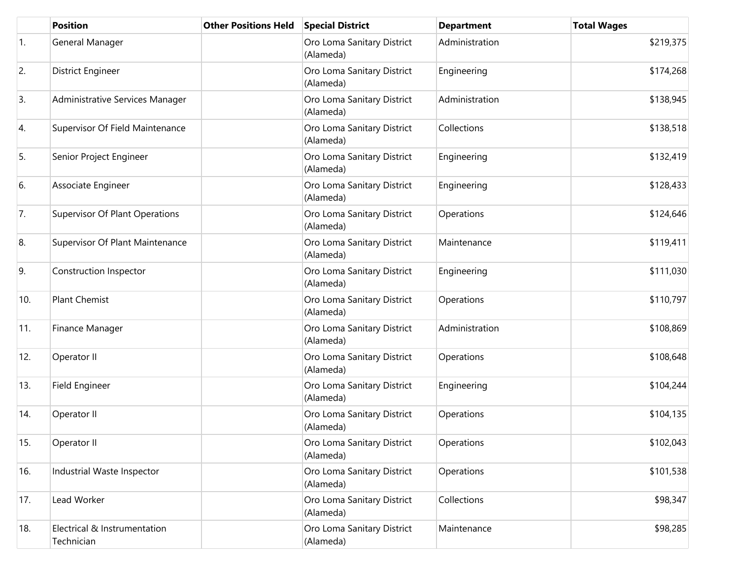|     | <b>Position</b>                            | <b>Other Positions Held</b> | <b>Special District</b>                 | <b>Department</b> | <b>Total Wages</b> |
|-----|--------------------------------------------|-----------------------------|-----------------------------------------|-------------------|--------------------|
| 1.  | General Manager                            |                             | Oro Loma Sanitary District<br>(Alameda) | Administration    | \$219,375          |
| 2.  | District Engineer                          |                             | Oro Loma Sanitary District<br>(Alameda) | Engineering       | \$174,268          |
| 3.  | Administrative Services Manager            |                             | Oro Loma Sanitary District<br>(Alameda) | Administration    | \$138,945          |
| 4.  | Supervisor Of Field Maintenance            |                             | Oro Loma Sanitary District<br>(Alameda) | Collections       | \$138,518          |
| 5.  | Senior Project Engineer                    |                             | Oro Loma Sanitary District<br>(Alameda) | Engineering       | \$132,419          |
| 6.  | Associate Engineer                         |                             | Oro Loma Sanitary District<br>(Alameda) | Engineering       | \$128,433          |
| 7.  | <b>Supervisor Of Plant Operations</b>      |                             | Oro Loma Sanitary District<br>(Alameda) | Operations        | \$124,646          |
| 8.  | Supervisor Of Plant Maintenance            |                             | Oro Loma Sanitary District<br>(Alameda) | Maintenance       | \$119,411          |
| 9.  | Construction Inspector                     |                             | Oro Loma Sanitary District<br>(Alameda) | Engineering       | \$111,030          |
| 10. | <b>Plant Chemist</b>                       |                             | Oro Loma Sanitary District<br>(Alameda) | Operations        | \$110,797          |
| 11. | Finance Manager                            |                             | Oro Loma Sanitary District<br>(Alameda) | Administration    | \$108,869          |
| 12. | Operator II                                |                             | Oro Loma Sanitary District<br>(Alameda) | Operations        | \$108,648          |
| 13. | Field Engineer                             |                             | Oro Loma Sanitary District<br>(Alameda) | Engineering       | \$104,244          |
| 14. | Operator II                                |                             | Oro Loma Sanitary District<br>(Alameda) | Operations        | \$104,135          |
| 15. | Operator II                                |                             | Oro Loma Sanitary District<br>(Alameda) | Operations        | \$102,043          |
| 16. | Industrial Waste Inspector                 |                             | Oro Loma Sanitary District<br>(Alameda) | Operations        | \$101,538          |
| 17. | Lead Worker                                |                             | Oro Loma Sanitary District<br>(Alameda) | Collections       | \$98,347           |
| 18. | Electrical & Instrumentation<br>Technician |                             | Oro Loma Sanitary District<br>(Alameda) | Maintenance       | \$98,285           |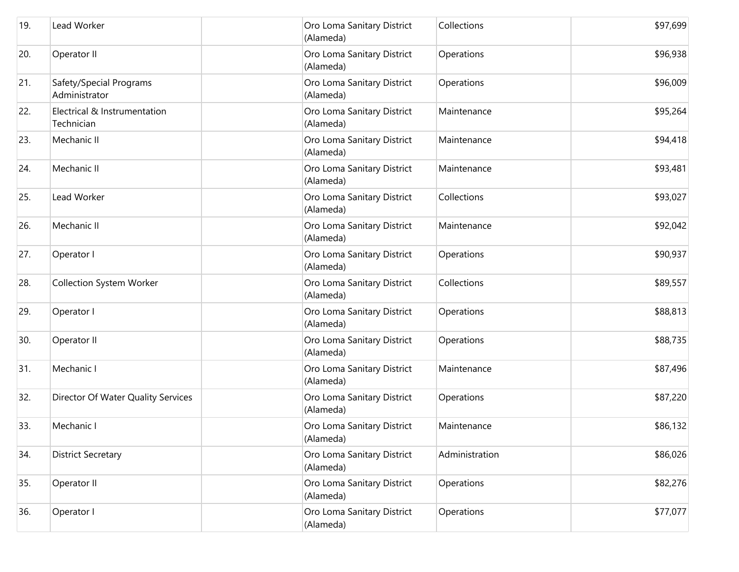| 19. | Lead Worker                                | Oro Loma Sanitary District<br>(Alameda) | Collections    | \$97,699 |
|-----|--------------------------------------------|-----------------------------------------|----------------|----------|
| 20. | Operator II                                | Oro Loma Sanitary District<br>(Alameda) | Operations     | \$96,938 |
| 21. | Safety/Special Programs<br>Administrator   | Oro Loma Sanitary District<br>(Alameda) | Operations     | \$96,009 |
| 22. | Electrical & Instrumentation<br>Technician | Oro Loma Sanitary District<br>(Alameda) | Maintenance    | \$95,264 |
| 23. | Mechanic II                                | Oro Loma Sanitary District<br>(Alameda) | Maintenance    | \$94,418 |
| 24. | Mechanic II                                | Oro Loma Sanitary District<br>(Alameda) | Maintenance    | \$93,481 |
| 25. | Lead Worker                                | Oro Loma Sanitary District<br>(Alameda) | Collections    | \$93,027 |
| 26. | Mechanic II                                | Oro Loma Sanitary District<br>(Alameda) | Maintenance    | \$92,042 |
| 27. | Operator I                                 | Oro Loma Sanitary District<br>(Alameda) | Operations     | \$90,937 |
| 28. | <b>Collection System Worker</b>            | Oro Loma Sanitary District<br>(Alameda) | Collections    | \$89,557 |
| 29. | Operator I                                 | Oro Loma Sanitary District<br>(Alameda) | Operations     | \$88,813 |
| 30. | Operator II                                | Oro Loma Sanitary District<br>(Alameda) | Operations     | \$88,735 |
| 31. | Mechanic I                                 | Oro Loma Sanitary District<br>(Alameda) | Maintenance    | \$87,496 |
| 32. | Director Of Water Quality Services         | Oro Loma Sanitary District<br>(Alameda) | Operations     | \$87,220 |
| 33. | Mechanic I                                 | Oro Loma Sanitary District<br>(Alameda) | Maintenance    | \$86,132 |
| 34. | <b>District Secretary</b>                  | Oro Loma Sanitary District<br>(Alameda) | Administration | \$86,026 |
| 35. | Operator II                                | Oro Loma Sanitary District<br>(Alameda) | Operations     | \$82,276 |
| 36. | Operator I                                 | Oro Loma Sanitary District<br>(Alameda) | Operations     | \$77,077 |